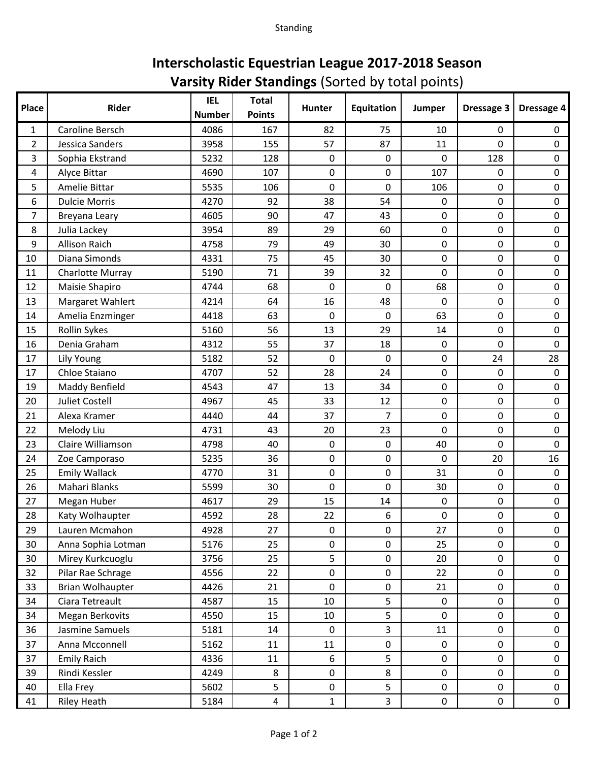## **Interscholastic Equestrian League 2017-2018 Season Varsity Rider Standings** (Sorted by total points)

| Place          | Rider                   | <b>IEL</b><br><b>Number</b> | <b>Total</b><br><b>Points</b> | <b>Hunter</b>       | <b>Equitation</b>       | Jumper      | Dressage 3  | Dressage 4   |
|----------------|-------------------------|-----------------------------|-------------------------------|---------------------|-------------------------|-------------|-------------|--------------|
| 1              | Caroline Bersch         | 4086                        | 167                           | 82                  | 75                      | 10          | 0           | 0            |
| $\overline{2}$ | Jessica Sanders         | 3958                        | 155                           | 57                  | 87                      | 11          | $\mathbf 0$ | $\mathbf 0$  |
| 3              | Sophia Ekstrand         | 5232                        | 128                           | 0                   | 0                       | $\mathbf 0$ | 128         | $\mathbf 0$  |
| 4              | Alyce Bittar            | 4690                        | 107                           | 0                   | 0                       | 107         | 0           | $\mathbf 0$  |
| 5              | Amelie Bittar           | 5535                        | 106                           | 0                   | 0                       | 106         | $\mathbf 0$ | $\mathbf 0$  |
| 6              | <b>Dulcie Morris</b>    | 4270                        | 92                            | 38                  | 54                      | 0           | $\mathbf 0$ | $\mathbf 0$  |
| $\overline{7}$ | Breyana Leary           | 4605                        | 90                            | 47                  | 43                      | $\pmb{0}$   | $\mathbf 0$ | $\pmb{0}$    |
| $\,8\,$        | Julia Lackey            | 3954                        | 89                            | 29                  | 60                      | $\mathbf 0$ | $\mathbf 0$ | $\pmb{0}$    |
| 9              | <b>Allison Raich</b>    | 4758                        | 79                            | 49                  | 30                      | $\pmb{0}$   | $\mathbf 0$ | $\mathbf 0$  |
| 10             | Diana Simonds           | 4331                        | 75                            | 45                  | 30                      | $\mathbf 0$ | $\mathbf 0$ | $\pmb{0}$    |
| 11             | Charlotte Murray        | 5190                        | 71                            | 39                  | 32                      | 0           | $\mathbf 0$ | $\mathbf 0$  |
| 12             | Maisie Shapiro          | 4744                        | 68                            | 0                   | 0                       | 68          | $\mathbf 0$ | $\mathbf 0$  |
| 13             | Margaret Wahlert        | 4214                        | 64                            | 16                  | 48                      | $\mathbf 0$ | $\mathbf 0$ | $\mathbf 0$  |
| 14             | Amelia Enzminger        | 4418                        | 63                            | 0                   | 0                       | 63          | $\mathbf 0$ | $\mathbf 0$  |
| 15             | Rollin Sykes            | 5160                        | 56                            | 13                  | 29                      | 14          | $\mathbf 0$ | $\mathbf 0$  |
| 16             | Denia Graham            | 4312                        | 55                            | 37                  | 18                      | $\pmb{0}$   | $\mathbf 0$ | $\mathbf 0$  |
| 17             | <b>Lily Young</b>       | 5182                        | 52                            | 0                   | 0                       | 0           | 24          | 28           |
| 17             | Chloe Staiano           | 4707                        | 52                            | 28                  | 24                      | 0           | $\mathbf 0$ | 0            |
| 19             | Maddy Benfield          | 4543                        | 47                            | 13                  | 34                      | 0           | $\mathbf 0$ | $\mathbf 0$  |
| 20             | Juliet Costell          | 4967                        | 45                            | 33                  | 12                      | $\mathbf 0$ | $\mathbf 0$ | $\mathbf 0$  |
| 21             | Alexa Kramer            | 4440                        | 44                            | 37                  | $\overline{7}$          | 0           | $\mathbf 0$ | $\pmb{0}$    |
| 22             | Melody Liu              | 4731                        | 43                            | 20                  | 23                      | 0           | $\mathbf 0$ | $\mathbf 0$  |
| 23             | Claire Williamson       | 4798                        | 40                            | 0                   | 0                       | 40          | 0           | $\mathbf 0$  |
| 24             | Zoe Camporaso           | 5235                        | 36                            | 0                   | $\pmb{0}$               | $\mathbf 0$ | 20          | 16           |
| 25             | <b>Emily Wallack</b>    | 4770                        | 31                            | 0                   | $\mathbf 0$             | 31          | $\mathbf 0$ | $\mathbf 0$  |
| 26             | Mahari Blanks           | 5599                        | 30                            | 0                   | 0                       | 30          | $\mathbf 0$ | $\mathbf 0$  |
| 27             | Megan Huber             | 4617                        | 29                            | 15                  | 14                      | $\pmb{0}$   | $\pmb{0}$   | $\pmb{0}$    |
| 28             | Katy Wolhaupter         | 4592                        | 28                            | 22                  | 6                       | 0           | $\mathbf 0$ | $\mathbf 0$  |
| 29             | Lauren Mcmahon          | 4928                        | 27                            | 0                   | $\mathbf 0$             | 27          | $\mathbf 0$ | $\mathbf 0$  |
| 30             | Anna Sophia Lotman      | 5176                        | 25                            | $\mathsf{O}\xspace$ | $\pmb{0}$               | 25          | $\mathbf 0$ | $\mathbf 0$  |
| 30             | Mirey Kurkcuoglu        | 3756                        | 25                            | 5                   | $\mathsf{O}\xspace$     | 20          | $\mathbf 0$ | $\mathbf 0$  |
| 32             | Pilar Rae Schrage       | 4556                        | 22                            | 0                   | 0                       | 22          | $\mathbf 0$ | $\mathbf 0$  |
| 33             | <b>Brian Wolhaupter</b> | 4426                        | 21                            | 0                   | 0                       | 21          | $\mathbf 0$ | $\mathbf 0$  |
| 34             | Ciara Tetreault         | 4587                        | 15                            | 10                  | 5                       | $\mathbf 0$ | $\mathbf 0$ | $\mathbf 0$  |
| 34             | Megan Berkovits         | 4550                        | 15                            | 10                  | 5                       | 0           | $\mathbf 0$ | $\mathbf 0$  |
| 36             | Jasmine Samuels         | 5181                        | 14                            | 0                   | 3                       | 11          | $\mathbf 0$ | $\mathbf 0$  |
| 37             | Anna Mcconnell          | 5162                        | 11                            | 11                  | 0                       | 0           | $\mathbf 0$ | 0            |
| 37             | <b>Emily Raich</b>      | 4336                        | 11                            | 6                   | 5                       | $\mathbf 0$ | $\mathbf 0$ | $\mathbf 0$  |
| 39             | Rindi Kessler           | 4249                        | 8                             | 0                   | 8                       | 0           | 0           | $\mathbf 0$  |
| 40             | Ella Frey               | 5602                        | 5                             | 0                   | 5                       | $\mathbf 0$ | $\mathbf 0$ | $\mathbf 0$  |
| 41             | Riley Heath             | 5184                        | $\overline{4}$                | $\mathbf{1}$        | $\overline{\mathbf{3}}$ | $\mathbf 0$ | $\mathbf 0$ | $\mathbf{0}$ |